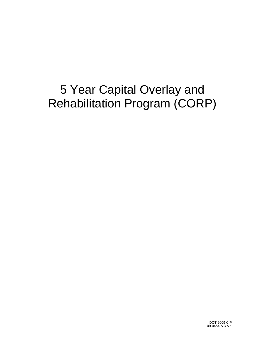## 5 Year Capital Overlay and Rehabilitation Program (CORP)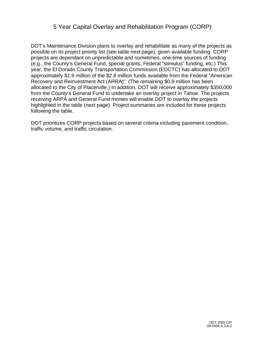## 5 Year Capital Overlay and Rehabilitation Program (CORP)

DOT's Maintenance Division plans to overlay and rehabilitate as many of the projects as possible on its project priority list (see table next page), given available funding. CORP projects are dependant on unpredictable and sometimes, one-time sources of funding (e.g., the County's General Fund, special grants, Federal "stimulus" funding, etc.) This year, the El Dorado County Transportation Commission (EDCTC) has allocated to DOT approximately \$1.9 million of the \$2.8 million funds available from the Federal "American Recovery and Reinvestment Act (ARRA)". (The remaining \$0.9 million has been allocated to the City of Placerville.) In addition, DOT will receive approximately \$350,000 from the County's General Fund to undertake an overlay project in Tahoe. The projects receiving ARPA and General Fund monies will enable DOT to overlay the projects highlighted in the table (next page). Project summaries are included for these projects following the table.

DOT prioritizes CORP projects based on several criteria including pavement condition, traffic volume, and traffic circulation.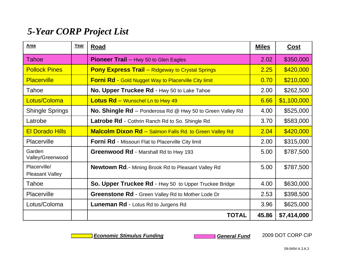## *5-Year CORP Project List*

| Area                                   | Year | <b>Road</b>                                                      | <b>Miles</b> | <u>Cost</u> |
|----------------------------------------|------|------------------------------------------------------------------|--------------|-------------|
| Tahoe                                  |      | <b>Pioneer Trail - Hwy 50 to Glen Eagles</b>                     | 2.02         | \$350,000   |
| <b>Pollock Pines</b>                   |      | <b>Pony Express Trail</b> – Ridgeway to Crystal Springs          | 2.25         | \$420,000   |
| <b>Placerville</b>                     |      | <b>Forni Rd - Gold Nugget Way to Placerville City limit</b>      | 0.70         | \$210,000   |
| Tahoe                                  |      | No. Upper Truckee Rd - Hwy 50 to Lake Tahoe                      | 2.00         | \$262,500   |
| Lotus/Coloma                           |      | <b>Lotus Rd</b> - Wunschel Ln to Hwy 49                          | 6.66         | \$1,100,000 |
| <b>Shingle Springs</b>                 |      | <b>No. Shingle Rd</b> – Ponderosa Rd @ Hwy 50 to Green Valley Rd | 4.00         | \$525,000   |
| Latrobe                                |      | Latrobe Rd - Cothrin Ranch Rd to So. Shingle Rd                  | 3.70         | \$583,000   |
| <b>El Dorado Hills</b>                 |      | <b>Malcolm Dixon Rd</b> - Salmon Falls Rd. to Green Valley Rd    | 2.04         | \$420,000   |
| Placerville                            |      | Forni Rd - Missouri Flat to Placerville City limit               | 2.00         | \$315,000   |
| Garden<br>Valley/Greenwood             |      | Greenwood Rd - Marshall Rd to Hwy 193                            | 5.00         | \$787,500   |
| Placerville/<br><b>Pleasant Valley</b> |      | <b>Newtown Rd.-</b> Mining Brook Rd to Pleasant Valley Rd        | 5.00         | \$787,500   |
| Tahoe                                  |      | So. Upper Truckee Rd - Hwy 50 to Upper Truckee Bridge            | 4.00         | \$630,000   |
| Placerville                            |      | <b>Greenstone Rd</b> - Green Valley Rd to Mother Lode Dr         | 2.53         | \$398,500   |
| Lotus/Coloma                           |      | Luneman Rd - Lotus Rd to Jurgens Rd                              | 3.96         | \$625,000   |
|                                        |      | <b>TOTAL</b>                                                     | 45.86        | \$7,414,000 |

*Economic Stimulus Funding* **General Fund** 

2009 DOT CORP CIP